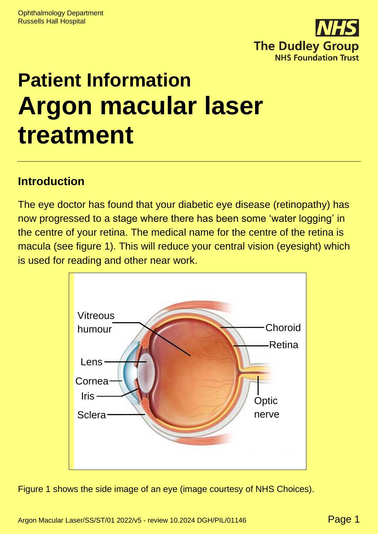

# **Patient Information Argon macular laser treatment**

#### **Introduction**

The eye doctor has found that your diabetic eye disease (retinopathy) has now progressed to a stage where there has been some 'water logging' in the centre of your retina. The medical name for the centre of the retina is macula (see figure 1). This will reduce your central vision (eyesight) which is used for reading and other near work.



Figure 1 shows the side image of an eye (image courtesy of NHS Choices).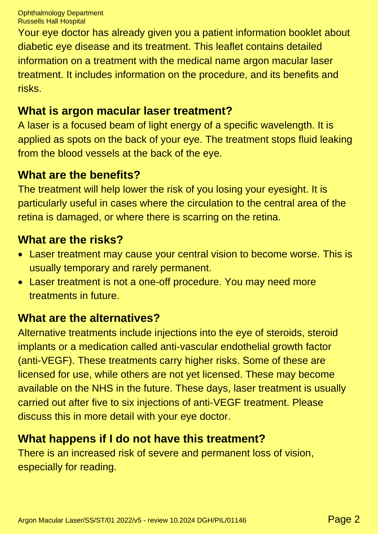Your eye doctor has already given you a patient information booklet about diabetic eye disease and its treatment. This leaflet contains detailed information on a treatment with the medical name argon macular laser treatment. It includes information on the procedure, and its benefits and risks.

#### **What is argon macular laser treatment?**

A laser is a focused beam of light energy of a specific wavelength. It is applied as spots on the back of your eye. The treatment stops fluid leaking from the blood vessels at the back of the eye.

#### **What are the benefits?**

The treatment will help lower the risk of you losing your eyesight. It is particularly useful in cases where the circulation to the central area of the retina is damaged, or where there is scarring on the retina.

#### **What are the risks?**

- Laser treatment may cause your central vision to become worse. This is usually temporary and rarely permanent.
- Laser treatment is not a one-off procedure. You may need more treatments in future.

### **What are the alternatives?**

Alternative treatments include injections into the eye of steroids, steroid implants or a medication called anti-vascular endothelial growth factor (anti-VEGF). These treatments carry higher risks. Some of these are licensed for use, while others are not yet licensed. These may become available on the NHS in the future. These days, laser treatment is usually carried out after five to six injections of anti-VEGF treatment. Please discuss this in more detail with your eye doctor.

#### **What happens if I do not have this treatment?**

There is an increased risk of severe and permanent loss of vision, especially for reading.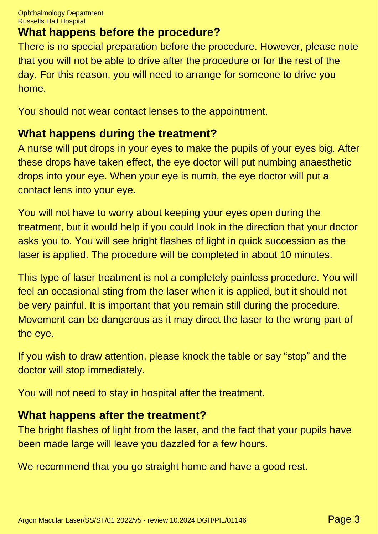## **What happens before the procedure?**

There is no special preparation before the procedure. However, please note that you will not be able to drive after the procedure or for the rest of the day. For this reason, you will need to arrange for someone to drive you home.

You should not wear contact lenses to the appointment.

#### **What happens during the treatment?**

A nurse will put drops in your eyes to make the pupils of your eyes big. After these drops have taken effect, the eye doctor will put numbing anaesthetic drops into your eye. When your eye is numb, the eye doctor will put a contact lens into your eye.

You will not have to worry about keeping your eyes open during the treatment, but it would help if you could look in the direction that your doctor asks you to. You will see bright flashes of light in quick succession as the laser is applied. The procedure will be completed in about 10 minutes.

This type of laser treatment is not a completely painless procedure. You will feel an occasional sting from the laser when it is applied, but it should not be very painful. It is important that you remain still during the procedure. Movement can be dangerous as it may direct the laser to the wrong part of the eye.

If you wish to draw attention, please knock the table or say "stop" and the doctor will stop immediately.

You will not need to stay in hospital after the treatment.

#### **What happens after the treatment?**

The bright flashes of light from the laser, and the fact that your pupils have been made large will leave you dazzled for a few hours.

We recommend that you go straight home and have a good rest.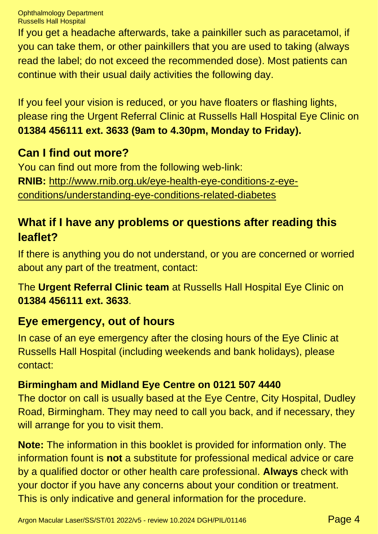Ophthalmology Department Russells Hall Hospital

If you get a headache afterwards, take a painkiller such as paracetamol, if you can take them, or other painkillers that you are used to taking (always read the label; do not exceed the recommended dose). Most patients can continue with their usual daily activities the following day.

If you feel your vision is reduced, or you have floaters or flashing lights, please ring the Urgent Referral Clinic at Russells Hall Hospital Eye Clinic on **01384 456111 ext. 3633 (9am to 4.30pm, Monday to Friday).**

#### **Can I find out more?**

You can find out more from the following web-link: **RNIB:** [http://www.rnib.org.uk/eye-health-eye-conditions-z-eye](http://www.rnib.org.uk/eye-health-eye-conditions-z-eye-conditions/understanding-eye-conditions-related-diabetes)[conditions/understanding-eye-conditions-related-diabetes](http://www.rnib.org.uk/eye-health-eye-conditions-z-eye-conditions/understanding-eye-conditions-related-diabetes)

### **What if I have any problems or questions after reading this leaflet?**

If there is anything you do not understand, or you are concerned or worried about any part of the treatment, contact:

The **Urgent Referral Clinic team** at Russells Hall Hospital Eye Clinic on **01384 456111 ext. 3633**.

#### **Eye emergency, out of hours**

In case of an eye emergency after the closing hours of the Eye Clinic at Russells Hall Hospital (including weekends and bank holidays), please contact:

#### **Birmingham and Midland Eye Centre on 0121 507 4440**

The doctor on call is usually based at the Eye Centre, City Hospital, Dudley Road, Birmingham. They may need to call you back, and if necessary, they will arrange for you to visit them.

**Note:** The information in this booklet is provided for information only. The information fount is **not** a substitute for professional medical advice or care by a qualified doctor or other health care professional. **Always** check with your doctor if you have any concerns about your condition or treatment. This is only indicative and general information for the procedure.